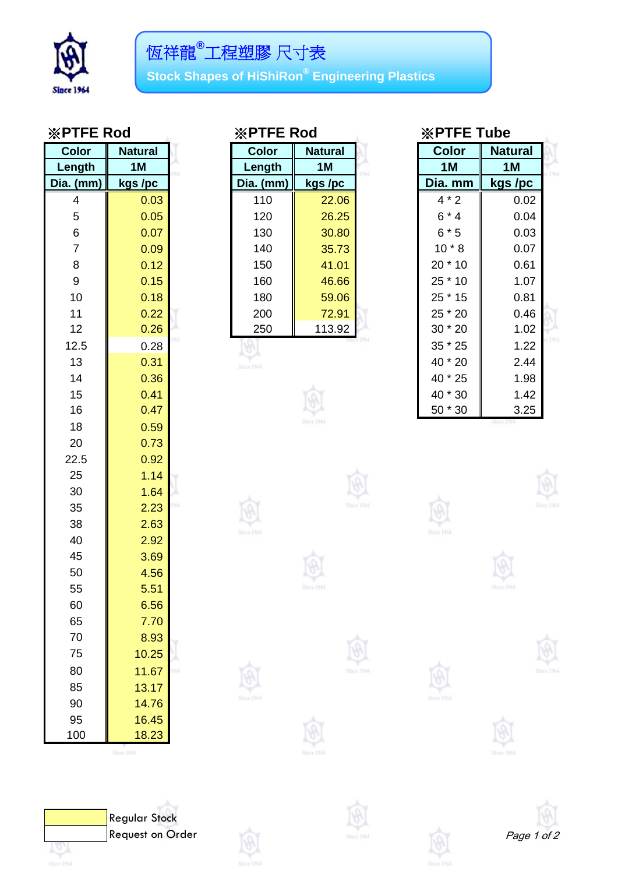

**Stock Shapes of HiShiRon® Engineering Plastics**

| <b>Color</b> | <b>Natural</b> |  |
|--------------|----------------|--|
| Length       | 1M             |  |
| Dia. (mm)    | kgs /pc        |  |
| 4            | 0.03           |  |
| 5            | 0.05           |  |
| 6            | 0.07           |  |
| 7            | 0.09           |  |
| 8            | 0.12           |  |
| 9            | 0.15           |  |
| 10           | 0.18           |  |
| 11           | 0.22           |  |
| 12           | 0.26           |  |
| 12.5         | 0.28           |  |
| 13           | 0.31           |  |
| 14           | 0.36           |  |
| 15           | 0.41           |  |
| 16           | 0.47           |  |
| 18           | 0.59           |  |
| 20           | 0.73           |  |
| 22.5         | 0.92           |  |
| 25           | 1.14           |  |
| 30           | 1.64           |  |
| 35           | 2.23           |  |
| 38           | 2.63           |  |
| 40           | 2.92           |  |
| 45           | 3.69           |  |
| 50           | 4.56           |  |
| 55           | 5.51           |  |
| 60           | 6.56           |  |
| 65           | 7.70           |  |
| 70           | 8.93           |  |
| 75           | 10.25          |  |
| 80           | 11.67          |  |
| 85           | 13.17          |  |
| 90           | 14.76          |  |
| 95           | 16.45          |  |
| 100          | 18.23          |  |

| <b>※PTFE Rod</b> |  |  |  |
|------------------|--|--|--|
|------------------|--|--|--|

| <b>Color</b>     | <b>Natural</b> | <b>Color</b> | <b>Natural</b> | <b>Color</b> | <b>Natural</b> |
|------------------|----------------|--------------|----------------|--------------|----------------|
| Length           | 1M             | Length       | 1M             | 1M           | 1M             |
| ia. (mm)         | kgs /pc        | Dia. (mm)    | kgs /pc        | Dia. mm      | kgs /pc        |
| 4                | 0.03           | 110          | 22.06          | $4 * 2$      | 0.02           |
| 5                | 0.05           | 120          | 26.25          | $6*4$        | 0.04           |
| $6\phantom{1}6$  | 0.07           | 130          | 30.80          | $6 * 5$      | 0.03           |
| $\overline{7}$   | 0.09           | 140          | 35.73          | $10 * 8$     | 0.07           |
| 8                | 0.12           | 150          | 41.01          | 20 * 10      | 0.61           |
| $\boldsymbol{9}$ | 0.15           | 160          | 46.66          | 25 * 10      | 1.07           |
| 10               | 0.18           | 180          | 59.06          | $25 * 15$    | 0.81           |
| 11               | 0.22           | 200          | 72.91          | 25 * 20      | 0.46           |
| 12               | 0.26           | 250          | 113.92         | 30 * 20      | 1.02           |
| 10E              | 0.22           |              |                | $25 * 25$    | 1.22           |